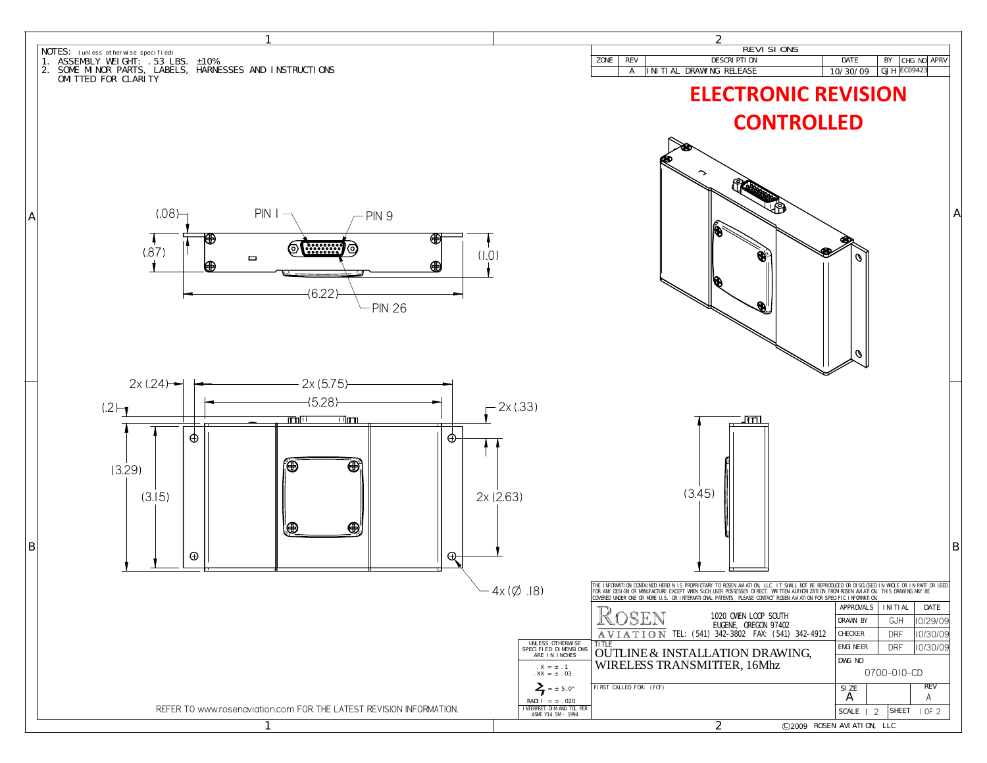